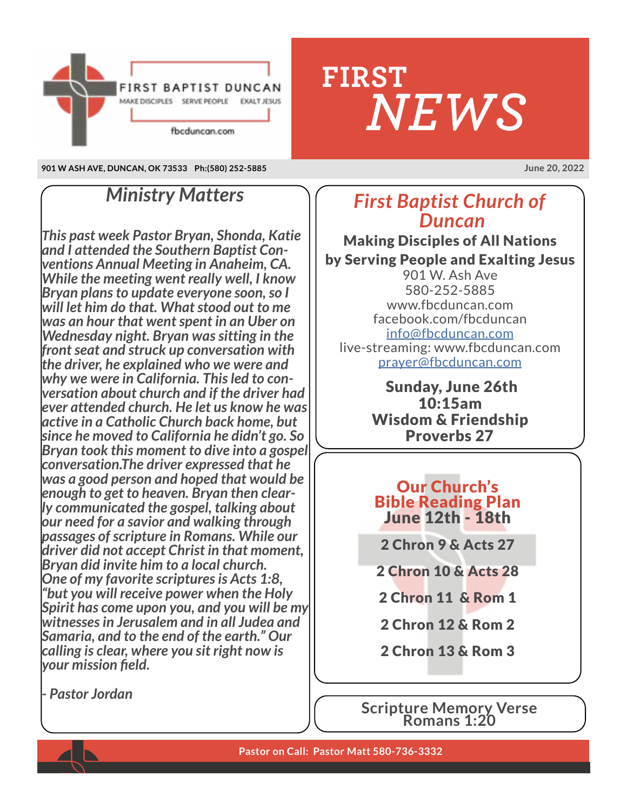

#### **901 W ASH AVE, DUNCAN, OK 73533 Ph:(580) 252-5885**

## *Ministry Matters*

*This past week Pastor Bryan, Shonda, Katie and I attended the Southern Baptist Conventions Annual Meeting in Anaheim, CA. While the meeting went really well, I know Bryan plans to update everyone soon, so I will let him do that. What stood out to me was an hour that went spent in an Uber on Wednesday night. Bryan was sitting in the front seat and struck up conversation with the driver, he explained who we were and why we were in California. This led to con- versation about church and if the driver had ever attended church. He let us know he was active in a Catholic Church back home, but since he moved to California he didn't go. So Bryan took this moment to dive into a gospel conversation.The driver expressed that he was a good person and hoped that would be enough to get to heaven. Bryan then clear- ly communicated the gospel, talking about our need for a savior and walking through passages of scripture in Romans. While our driver did not accept Christ in that moment, Bryan did invite him to a local church. One of my favorite scriptures is Acts 1:8, "but you will receive power when the Holy Spirit has come upon you, and you will be my witnesses in Jerusalem and in all Judea and Samaria, and to the end of the earth." Our calling is clear, where you sit right now is your mission field.*

*- Pastor Jordan*

## *First Baptist Church of Duncan*

*NEWS*

**FIRST**

Making Disciples of All Nations by Serving People and Exalting Jesus

901 W. Ash Ave 580-252-5885 www.fbcduncan.com facebook.com/fbcduncan [info@fbcduncan.](http://info@firstduncan.org)com live-streaming: www.fbcduncan.com [prayer@fbcduncan.com](http://prayer@firstduncan.org)

> Sunday, June 26th 10:15am Wisdom & Friendship Proverbs 27

#### Our Church's Bible Reading Plan June 12th - 18th

- 2 Chron 9 & Acts 27
- 2 Chron 10 & Acts 28
- 2 Chron 11 & Rom 1
- 2 Chron 12 & Rom 2
- 2 Chron 13 & Rom 3

**Scripture Memory Verse Romans 1:20**

**June 20, 2022**